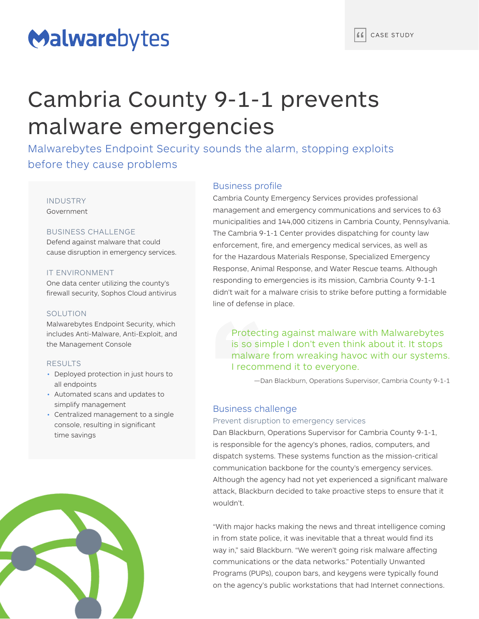# Malwarebytes

## Cambria County 9-1-1 prevents malware emergencies

Malwarebytes Endpoint Security sounds the alarm, stopping exploits before they cause problems

## INDUSTRY Government

## BUSINESS CHALLENGE

Defend against malware that could cause disruption in emergency services.

## IT ENVIRONMENT

One data center utilizing the county's firewall security, Sophos Cloud antivirus

## **SOLUTION**

Malwarebytes Endpoint Security, which includes Anti-Malware, Anti-Exploit, and the Management Console

### RESULTS

- Deployed protection in just hours to all endpoints
- Automated scans and updates to simplify management
- Centralized management to a single console, resulting in significant time savings



## Business profile

Cambria County Emergency Services provides professional management and emergency communications and services to 63 municipalities and 144,000 citizens in Cambria County, Pennsylvania. The Cambria 9-1-1 Center provides dispatching for county law enforcement, fire, and emergency medical services, as well as for the Hazardous Materials Response, Specialized Emergency Response, Animal Response, and Water Rescue teams. Although responding to emergencies is its mission, Cambria County 9-1-1 didn't wait for a malware crisis to strike before putting a formidable line of defense in place.

Protecting against malware with Malwarebytes is so simple I don't even think about it. It stops malware from wreaking havoc with our systems. I recommend it to everyone.

—Dan Blackburn, Operations Supervisor, Cambria County 9-1-1

## Business challenge

### Prevent disruption to emergency services

Dan Blackburn, Operations Supervisor for Cambria County 9-1-1, is responsible for the agency's phones, radios, computers, and dispatch systems. These systems function as the mission-critical communication backbone for the county's emergency services. Although the agency had not yet experienced a significant malware attack, Blackburn decided to take proactive steps to ensure that it wouldn't.

"With major hacks making the news and threat intelligence coming in from state police, it was inevitable that a threat would find its way in," said Blackburn. "We weren't going risk malware affecting communications or the data networks." Potentially Unwanted Programs (PUPs), coupon bars, and keygens were typically found on the agency's public workstations that had Internet connections.